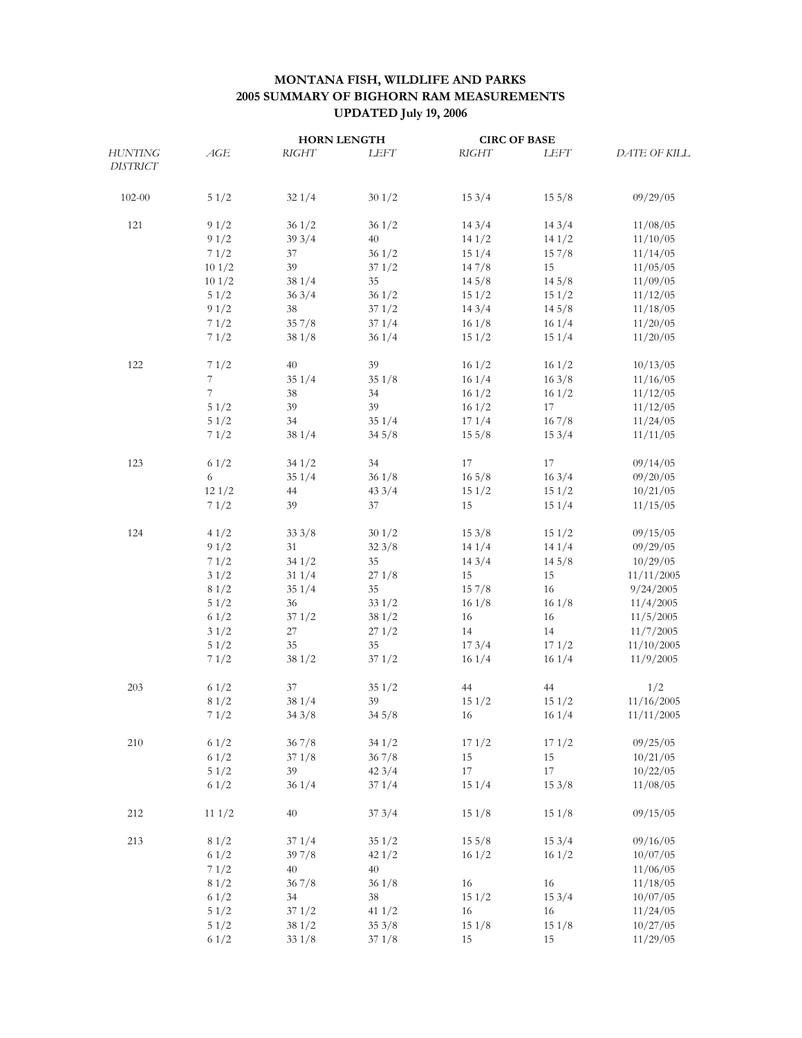## **MONTANA FISH, WILDLIFE AND PARKS 2005 SUMMARY OF BIGHORN RAM MEASUREMENTS UPDATED July 19, 2006**

|                 |       | <b>HORN LENGTH</b> |        | <b>CIRC OF BASE</b> |                 |                     |
|-----------------|-------|--------------------|--------|---------------------|-----------------|---------------------|
| <b>HUNTING</b>  | AGE   | RIGHT              | LEFT   | <b>RIGHT</b>        | <b>LEFT</b>     | <b>DATE OF KILL</b> |
| <b>DISTRICT</b> |       |                    |        |                     |                 |                     |
| $102 - 00$      | 51/2  | 321/4              | 301/2  | 153/4               | $15\frac{5}{8}$ | 09/29/05            |
| 121             | 9 1/2 | 361/2              | 361/2  | 143/4               | 143/4           | 11/08/05            |
|                 | 91/2  | 393/4              | 40     | 141/2               | 141/2           | 11/10/05            |
|                 | 71/2  | 37                 | 361/2  | 151/4               | 157/8           | 11/14/05            |
|                 | 101/2 | 39                 | 371/2  | 147/8               | 15              | 11/05/05            |
|                 | 101/2 | 38 1/4             | 35     | 145/8               | 145/8           | 11/09/05            |
|                 | 51/2  | 363/4              | 361/2  | 151/2               | 151/2           | 11/12/05            |
|                 |       |                    | 371/2  | 143/4               | 145/8           | 11/18/05            |
|                 | 91/2  | 38                 |        |                     |                 |                     |
|                 | 71/2  | 357/8              | 371/4  | 161/8               | 161/4           | 11/20/05            |
|                 | 71/2  | 381/8              | 361/4  | 151/2               | 151/4           | 11/20/05            |
| 122             | 71/2  | 40                 | 39     | 161/2               | 161/2           | 10/13/05            |
|                 | 7     | 351/4              | 351/8  | 161/4               | 163/8           | 11/16/05            |
|                 | 7     | 38                 | 34     | 161/2               | 161/2           | 11/12/05            |
|                 | 51/2  | 39                 | 39     | 161/2               | 17              | 11/12/05            |
|                 | 51/2  | 34                 | 351/4  | 171/4               | 167/8           | 11/24/05            |
|                 | 71/2  | 381/4              | 345/8  | 155/8               | 153/4           | 11/11/05            |
| 123             | 61/2  | 341/2              | 34     | 17                  | 17              | 09/14/05            |
|                 | 6     | 351/4              | 361/8  | $16\frac{5}{8}$     | 163/4           | 09/20/05            |
|                 | 121/2 | 44                 | 433/4  | 151/2               | 151/2           | 10/21/05            |
|                 |       |                    |        |                     |                 |                     |
|                 | 71/2  | 39                 | 37     | 15                  | 151/4           | 11/15/05            |
| 124             | 41/2  | 333/8              | 301/2  | 153/8               | 151/2           | 09/15/05            |
|                 | 91/2  | 31                 | 323/8  | 141/4               | 141/4           | 09/29/05            |
|                 | 71/2  | 341/2              | 35     | 143/4               | 145/8           | 10/29/05            |
|                 | 31/2  | 311/4              | 271/8  | 15                  | 15              | 11/11/2005          |
|                 | 81/2  | 351/4              | 35     | 157/8               | 16              | 9/24/2005           |
|                 | 51/2  | 36                 | 331/2  | 161/8               | 161/8           | 11/4/2005           |
|                 | 61/2  | 371/2              | 381/2  | 16                  | 16              | 11/5/2005           |
|                 | 31/2  | 27                 | 271/2  | 14                  | 14              | 11/7/2005           |
|                 | 51/2  | 35                 | 35     | 173/4               | 171/2           | 11/10/2005          |
|                 | 71/2  | 381/2              | 371/2  | 161/4               | 161/4           | 11/9/2005           |
| 203             | 61/2  | 37                 | 351/2  | 44                  | 44              | 1/2                 |
|                 | 81/2  | 38 1/4             | 39     | 151/2               | 151/2           | 11/16/2005          |
|                 | 71/2  | 343/8              | 345/8  | 16                  | 161/4           | 11/11/2005          |
|                 |       |                    | 341/2  |                     | 171/2           | 09/25/05            |
| 210             | 61/2  | 367/8              |        | 171/2               |                 |                     |
|                 | 61/2  | 371/8              | 367/8  | 15                  | 15              | 10/21/05            |
|                 | 51/2  | 39                 | 423/4  | 17                  | $17\,$          | 10/22/05            |
|                 | 61/2  | 361/4              | 371/4  | 151/4               | 153/8           | 11/08/05            |
| 212             | 111/2 | 40                 | 373/4  | 151/8               | 151/8           | 09/15/05            |
| 213             | 81/2  | 371/4              | 351/2  | $15\frac{5}{8}$     | 153/4           | 09/16/05            |
|                 | 61/2  | 39 7/8             | 421/2  | 161/2               | 161/2           | 10/07/05            |
|                 | 71/2  | 40                 | 40     |                     |                 | 11/06/05            |
|                 | 81/2  | 367/8              | 361/8  | 16                  | 16              | 11/18/05            |
|                 | 61/2  | 34                 | $38\,$ | 151/2               | 153/4           | 10/07/05            |
|                 | 51/2  | 371/2              | 411/2  | 16                  | 16              | 11/24/05            |
|                 | 51/2  | 38 1/2             | 353/8  | 151/8               | 151/8           | 10/27/05            |
|                 | 61/2  | 331/8              | 371/8  | 15                  | 15              | 11/29/05            |
|                 |       |                    |        |                     |                 |                     |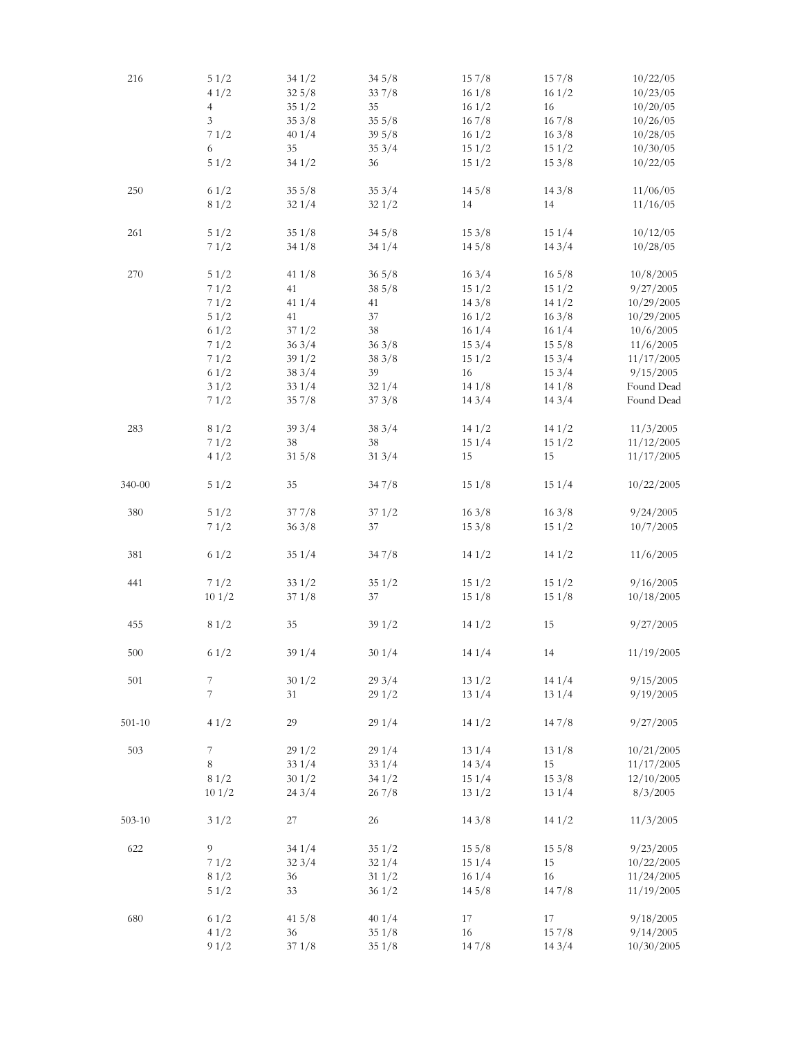| 216        | 51/2           | 341/2 | 345/8           | 157/8  | 157/8           | 10/22/05   |
|------------|----------------|-------|-----------------|--------|-----------------|------------|
|            | 41/2           | 325/8 | 337/8           | 161/8  | 161/2           | 10/23/05   |
|            | $\overline{4}$ | 351/2 | 35              | 161/2  | 16              | 10/20/05   |
|            | 3              | 353/8 | 355/8           | 167/8  | 167/8           | 10/26/05   |
|            | 71/2           | 401/4 | 395/8           | 161/2  | 163/8           | 10/28/05   |
|            | 6              | 35    | 353/4           | 151/2  | 151/2           | 10/30/05   |
|            | 51/2           | 341/2 | 36              | 151/2  | 153/8           | 10/22/05   |
|            |                |       |                 |        |                 |            |
| 250        | 61/2           | 355/8 | 353/4           | 14.5/8 | 143/8           | 11/06/05   |
|            | 81/2           | 321/4 | 321/2           | 14     | 14              | 11/16/05   |
| 261        | 51/2           | 351/8 | 345/8           | 153/8  | 151/4           | 10/12/05   |
|            | 71/2           | 341/8 | 341/4           | 145/8  | 143/4           | 10/28/05   |
| 270        | 51/2           | 411/8 | $36\frac{5}{8}$ | 163/4  | $16\frac{5}{8}$ | 10/8/2005  |
|            | 71/2           | 41    | 38 5/8          | 151/2  | 151/2           | 9/27/2005  |
|            | 71/2           | 411/4 | 41              | 143/8  | 141/2           | 10/29/2005 |
|            | 51/2           | 41    | 37              | 161/2  | 163/8           | 10/29/2005 |
|            | 61/2           | 371/2 | 38              | 161/4  | 161/4           | 10/6/2005  |
|            | 71/2           | 363/4 | 363/8           | 153/4  | 155/8           | 11/6/2005  |
|            | 71/2           | 391/2 | 383/8           | 151/2  | 153/4           | 11/17/2005 |
|            | 61/2           | 383/4 | 39              | 16     | 153/4           | 9/15/2005  |
|            | 31/2           | 331/4 | 321/4           | 141/8  | 141/8           | Found Dead |
|            | 71/2           | 357/8 | 373/8           | 143/4  | 143/4           | Found Dead |
|            |                |       |                 |        |                 |            |
| 283        | 81/2           | 393/4 | 383/4           | 141/2  | 141/2           | 11/3/2005  |
|            | 71/2           | 38    | 38              | 151/4  | 151/2           | 11/12/2005 |
|            | 41/2           | 315/8 | 313/4           | 15     | 15              | 11/17/2005 |
| 340-00     | 51/2           | 35    | 347/8           | 151/8  | 151/4           | 10/22/2005 |
| 380        | 51/2           | 377/8 | 371/2           | 163/8  | 163/8           | 9/24/2005  |
|            | 71/2           | 363/8 | 37              | 153/8  | 151/2           | 10/7/2005  |
| 381        | 61/2           | 351/4 | 347/8           | 141/2  | 141/2           | 11/6/2005  |
| 441        | 71/2           | 331/2 | 351/2           | 151/2  | 151/2           | 9/16/2005  |
|            | 101/2          | 371/8 | 37              | 151/8  | 151/8           | 10/18/2005 |
|            |                |       |                 |        |                 |            |
| 455        | 81/2           | 35    | 391/2           | 141/2  | 15              | 9/27/2005  |
| 500        | 61/2           | 391/4 | 301/4           | 141/4  | 14              | 11/19/2005 |
| 501        | 7              | 301/2 | 293/4           | 131/2  | 141/4           | 9/15/2005  |
|            | $\overline{7}$ | 31    | 291/2           | 131/4  | 131/4           | 9/19/2005  |
| $501 - 10$ | 41/2           | 29    | 291/4           | 141/2  | 147/8           | 9/27/2005  |
| 503        | 7              | 291/2 | 291/4           | 131/4  | 131/8           | 10/21/2005 |
|            | 8              | 331/4 | 331/4           | 143/4  | 15              | 11/17/2005 |
|            | 81/2           | 301/2 | 341/2           | 151/4  | 153/8           | 12/10/2005 |
|            | 101/2          | 243/4 | 267/8           | 131/2  | 131/4           | 8/3/2005   |
| $503 - 10$ | 31/2           | 27    | 26              | 143/8  | 141/2           | 11/3/2005  |
| 622        | 9              | 341/4 | 351/2           | 155/8  | 155/8           | 9/23/2005  |
|            | 71/2           | 323/4 | 321/4           | 151/4  | 15              | 10/22/2005 |
|            | 81/2           | 36    | 311/2           | 161/4  | 16              | 11/24/2005 |
|            | 51/2           | 33    | 361/2           | 145/8  | 147/8           | 11/19/2005 |
|            |                |       |                 |        |                 |            |
| 680        | 61/2           | 415/8 | 401/4           | 17     | 17              | 9/18/2005  |
|            | 41/2           | 36    | 351/8           | 16     | 157/8           | 9/14/2005  |
|            | 91/2           | 371/8 | 351/8           | 147/8  | 143/4           | 10/30/2005 |